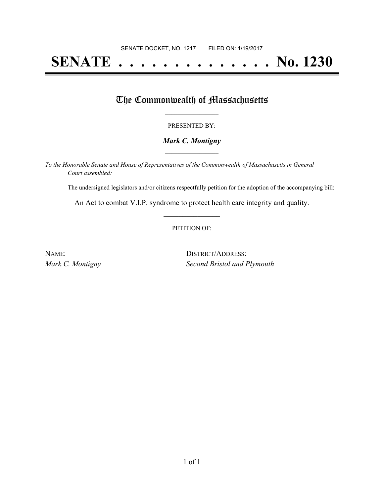# **SENATE . . . . . . . . . . . . . . No. 1230**

## The Commonwealth of Massachusetts

#### PRESENTED BY:

#### *Mark C. Montigny* **\_\_\_\_\_\_\_\_\_\_\_\_\_\_\_\_\_**

*To the Honorable Senate and House of Representatives of the Commonwealth of Massachusetts in General Court assembled:*

The undersigned legislators and/or citizens respectfully petition for the adoption of the accompanying bill:

An Act to combat V.I.P. syndrome to protect health care integrity and quality. **\_\_\_\_\_\_\_\_\_\_\_\_\_\_\_**

#### PETITION OF:

NAME: DISTRICT/ADDRESS: *Mark C. Montigny Second Bristol and Plymouth*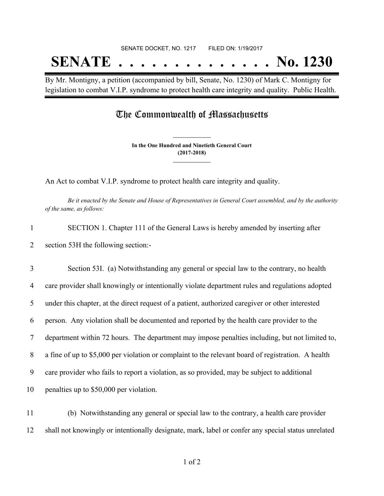# SENATE DOCKET, NO. 1217 FILED ON: 1/19/2017 **SENATE . . . . . . . . . . . . . . No. 1230**

By Mr. Montigny, a petition (accompanied by bill, Senate, No. 1230) of Mark C. Montigny for legislation to combat V.I.P. syndrome to protect health care integrity and quality. Public Health.

### The Commonwealth of Massachusetts

**In the One Hundred and Ninetieth General Court (2017-2018) \_\_\_\_\_\_\_\_\_\_\_\_\_\_\_**

**\_\_\_\_\_\_\_\_\_\_\_\_\_\_\_**

An Act to combat V.I.P. syndrome to protect health care integrity and quality.

Be it enacted by the Senate and House of Representatives in General Court assembled, and by the authority *of the same, as follows:*

| SECTION 1. Chapter 111 of the General Laws is hereby amended by inserting after |
|---------------------------------------------------------------------------------|
| section 53H the following section:-                                             |

 Section 53I. (a) Notwithstanding any general or special law to the contrary, no health care provider shall knowingly or intentionally violate department rules and regulations adopted under this chapter, at the direct request of a patient, authorized caregiver or other interested person. Any violation shall be documented and reported by the health care provider to the department within 72 hours. The department may impose penalties including, but not limited to, a fine of up to \$5,000 per violation or complaint to the relevant board of registration. A health care provider who fails to report a violation, as so provided, may be subject to additional penalties up to \$50,000 per violation.

11 (b) Notwithstanding any general or special law to the contrary, a health care provider 12 shall not knowingly or intentionally designate, mark, label or confer any special status unrelated